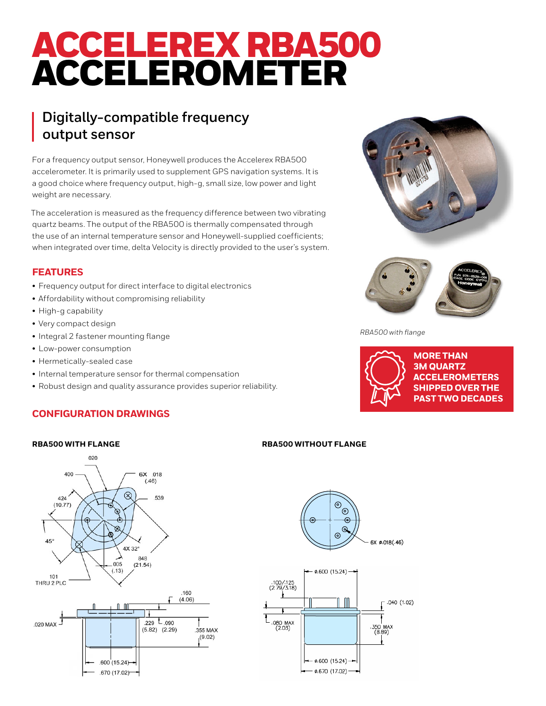# ACCELEREX RBA500 ACCELEROMETER

# **Digitally-compatible frequency output sensor**

For a frequency output sensor, Honeywell produces the Accelerex RBA500 accelerometer. It is primarily used to supplement GPS navigation systems. It is a good choice where frequency output, high-g, small size, low power and light weight are necessary.

The acceleration is measured as the frequency difference between two vibrating quartz beams. The output of the RBA500 is thermally compensated through the use of an internal temperature sensor and Honeywell-supplied coefficients; when integrated over time, delta Velocity is directly provided to the user's system.

# **FEATURES**

- Frequency output for direct interface to digital electronics
- Affordability without compromising reliability
- High-g capability
- Very compact design
- Integral 2 fastener mounting flange
- Low-power consumption
- Hermetically-sealed case
- Internal temperature sensor for thermal compensation
- Robust design and quality assurance provides superior reliability.

# **CONFIGURATION DRAWINGS**



### **RBA500 WITH FLANGE RBA500 WITHOUT FLANGE**



- ø.670 (17.02) -





*RBA500 with flange*